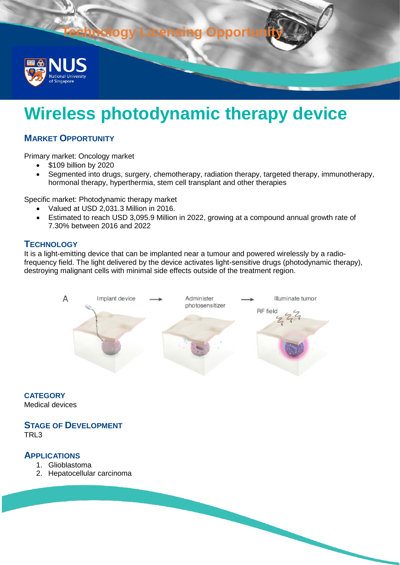**Pay Licensing Opp** 



# **Wireless photodynamic therapy device**

# **MARKET OPPORTUNITY**

Primary market: Oncology market

- \$109 billion by 2020
- Segmented into drugs, surgery, chemotherapy, radiation therapy, targeted therapy, immunotherapy, hormonal therapy, hyperthermia, stem cell transplant and other therapies

Specific market: Photodynamic therapy market

- Valued at USD 2,031.3 Million in 2016.
- Estimated to reach USD 3,095.9 Million in 2022, growing at a compound annual growth rate of 7.30% between 2016 and 2022

## **TECHNOLOGY**

It is a light-emitting device that can be implanted near a tumour and powered wirelessly by a radiofrequency field. The light delivered by the device activates light-sensitive drugs (photodynamic therapy), destroying malignant cells with minimal side effects outside of the treatment region.



**CATEGORY** Medical devices

#### **STAGE OF DEVELOPMENT** TRL3

## **APPLICATIONS**

- 1. Glioblastoma
- 2. Hepatocellular carcinoma